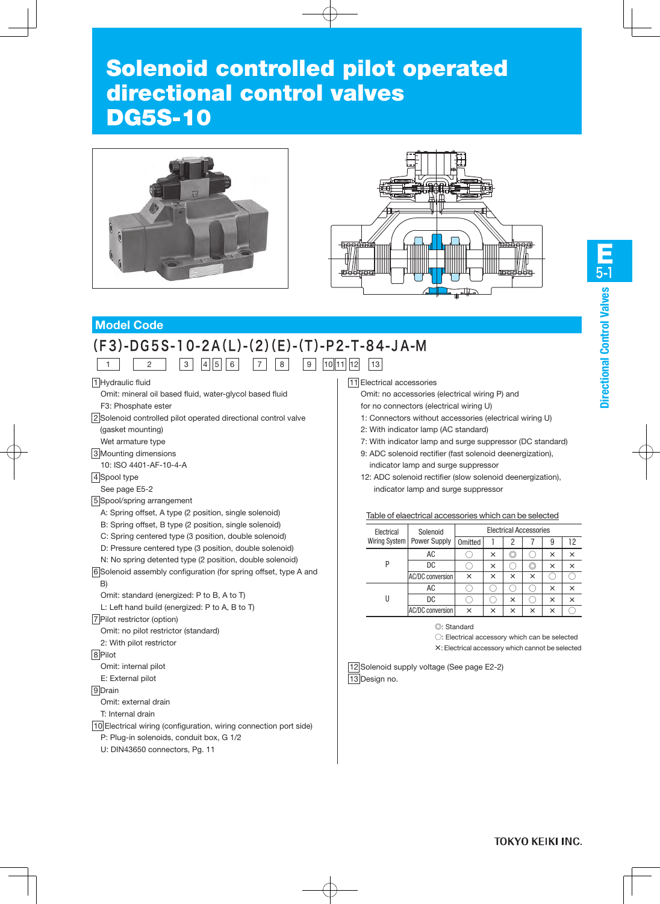# Solenoid controlled pilot operated directional control valves DG5S-10





# **Model Code**

# (F3)-DG5S-10-2A(L)-(2)(E)-(T)-P2-T-84-JA-M

1 | | 2 | |3||4||5||6| |7||8| |9||10||11||12||13

1 Hydraulic fluid

Omit: mineral oil based fluid, water-glycol based fluid F3: Phosphate ester

2 Solenoid controlled pilot operated directional control valve (gasket mounting)

Wet armature type

3 Mounting dimensions

10: ISO 4401-AF-10-4-A

4 Spool type

#### See page E5-2

5 Spool/spring arrangement

A: Spring offset, A type (2 position, single solenoid)

B: Spring offset, B type (2 position, single solenoid)

C: Spring centered type (3 position, double solenoid)

- D: Pressure centered type (3 position, double solenoid)
- N: No spring detented type (2 position, double solenoid)

6 Solenoid assembly configuration (for spring offset, type A and B)

Omit: standard (energized: P to B, A to T)

L: Left hand build (energized: P to A, B to T)

7 Pilot restrictor (option)

Omit: no pilot restrictor (standard)

2: With pilot restrictor

8 Pilot

Omit: internal pilot

E: External pilot

#### 9 Drain

Omit: external drain

T: Internal drain

10 Electrical wiring (configuration, wiring connection port side) P: Plug-in solenoids, conduit box, G 1/2

U: DIN43650 connectors, Pg. 11

#### 11 Electrical accessories

Omit: no accessories (electrical wiring P) and for no connectors (electrical wiring U)

- 1: Connectors without accessories (electrical wiring U)
- 2: With indicator lamp (AC standard)
- 7: With indicator lamp and surge suppressor (DC standard)
- 9: ADC solenoid rectifier (fast solenoid deenergization), indicator lamp and surge suppressor
- 12: ADC solenoid rectifier (slow solenoid deenergization), indicator lamp and surge suppressor

|  | Table of elaectrical accessories which can be selected |  |  |  |
|--|--------------------------------------------------------|--|--|--|
|--|--------------------------------------------------------|--|--|--|

| Electrical    | Solenoid                | <b>Electrical Accessories</b> |   |   |   |          |          |  |
|---------------|-------------------------|-------------------------------|---|---|---|----------|----------|--|
| Wiring System | Power Supply            | Omitted                       |   |   |   | 9        | 12       |  |
| p             | AC                      |                               | × |   |   | $\times$ | ×        |  |
|               | DC                      |                               | × |   |   | $\times$ | ×        |  |
|               | AC/DC conversion        | ×                             | × | × | × |          |          |  |
|               | AC                      |                               |   |   |   | $\times$ | ×        |  |
|               | DC                      |                               |   | × |   | $\times$ | $\times$ |  |
|               | <b>AC/DC</b> conversion | ×                             | × | × | × | $\times$ |          |  |

◎: Standard

○: Electrical accessory which can be selected

×: Electrical accessory which cannot be selected

12 Solenoid supply voltage (See page E2-2) 13 Design no.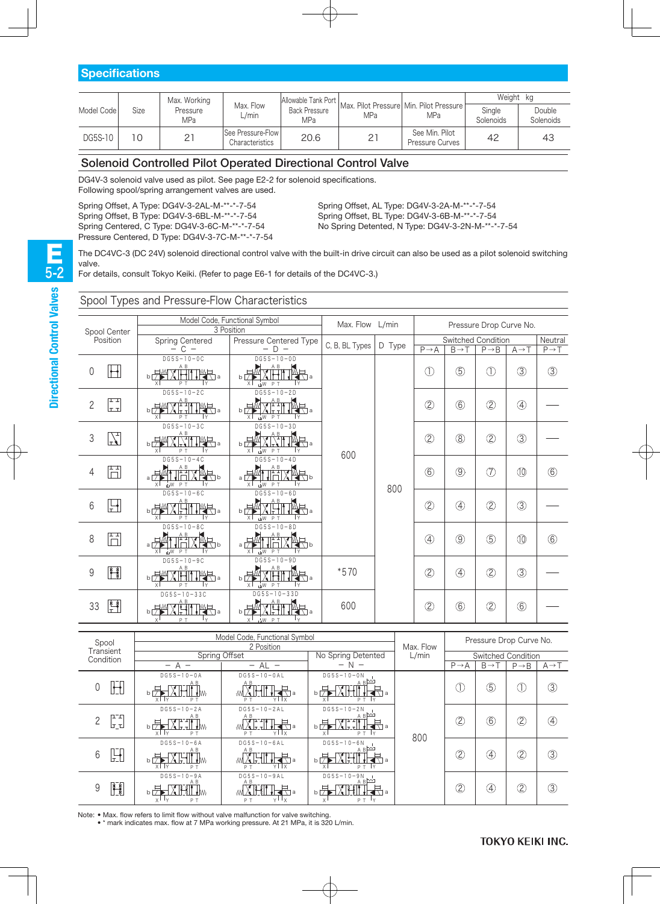| Model Code | Size | Max. Working    |                                      |      | Allowable Tank Port   Max. Pilot Pressure   Min. Pilot Pressure |                                          | Weight kg                  |                     |  |
|------------|------|-----------------|--------------------------------------|------|-----------------------------------------------------------------|------------------------------------------|----------------------------|---------------------|--|
|            |      | Pressure<br>MPa | Max. Flow<br>L/min                   | MPa  | MPa                                                             | <b>MPa</b>                               | Single<br><b>Solenoids</b> | Double<br>Solenoids |  |
| DG5S-10    |      |                 | See Pressure-Flow<br>Characteristics | 20.6 |                                                                 | See Min. Pilot<br><b>Pressure Curves</b> | 42                         | 43                  |  |

# Solenoid Controlled Pilot Operated Directional Control Valve

DG4V-3 solenoid valve used as pilot. See page E2-2 for solenoid specifications. Following spool/spring arrangement valves are used.

Spring Offset, A Type: DG4V-3-2AL-M-\*\*-\*-7-54 Spring Offset, B Type: DG4V-3-6BL-M-\*\*-\*-7-54 Spring Centered, C Type: DG4V-3-6C-M-\*\*-\*-7-54 Pressure Centered, D Type: DG4V-3-7C-M-\*\*-\*-7-54 Spring Offset, AL Type: DG4V-3-2A-M-\*\*-\*-7-54 Spring Offset, BL Type: DG4V-3-6B-M-\*\*-\*-7-54 No Spring Detented, N Type: DG4V-3-2N-M-\*\*-\*-7-54

The DC4VC-3 (DC 24V) solenoid directional control valve with the built-in drive circuit can also be used as a pilot solenoid switching valve.

For details, consult Tokyo Keiki. (Refer to page E6-1 for details of the DC4VC-3.)

# Spool Types and Pressure-Flow Characteristics

|                 |                          |                                                                                                                                                                                                                                                                                                                                                                                                                                                                                         | Model Code, Functional Symbol<br>3 Position                                                                                                                                                                                                                                                                                                                                                                       | Max. Flow L/min |        |                   |                   | Pressure Drop Curve No.    |                   |                   |
|-----------------|--------------------------|-----------------------------------------------------------------------------------------------------------------------------------------------------------------------------------------------------------------------------------------------------------------------------------------------------------------------------------------------------------------------------------------------------------------------------------------------------------------------------------------|-------------------------------------------------------------------------------------------------------------------------------------------------------------------------------------------------------------------------------------------------------------------------------------------------------------------------------------------------------------------------------------------------------------------|-----------------|--------|-------------------|-------------------|----------------------------|-------------------|-------------------|
|                 | Spool Center<br>Position | Spring Centered                                                                                                                                                                                                                                                                                                                                                                                                                                                                         | Pressure Centered Type                                                                                                                                                                                                                                                                                                                                                                                            |                 |        |                   |                   | Switched Condition         |                   | Neutral           |
|                 |                          | $- C -$                                                                                                                                                                                                                                                                                                                                                                                                                                                                                 | $- D -$                                                                                                                                                                                                                                                                                                                                                                                                           | C, B, BL Types  | D Type | $P \rightarrow A$ | $B \rightarrow T$ | $P \rightarrow B$          | $A \rightarrow T$ | $P \rightarrow T$ |
| $\mathbf 0$     | $\mathbb H$              | $DG5S-10-0C$<br>$A$ $B$<br>XHII IYA <sub>a</sub><br><b>b团</b>                                                                                                                                                                                                                                                                                                                                                                                                                           | $DG5S-10-0D$<br>A B                                                                                                                                                                                                                                                                                                                                                                                               |                 |        | $\circled{1}$     | $\circledS$       | $\circled{\scriptstyle 1}$ | $\circled{3}$     | $\circled{3}$     |
|                 |                          | $\times$<br>PT<br>İΥ                                                                                                                                                                                                                                                                                                                                                                                                                                                                    | $b \nabla$<br>∏a<br>$\times$<br>$W$ P T                                                                                                                                                                                                                                                                                                                                                                           |                 |        |                   |                   |                            |                   |                   |
|                 | 다                        | $DG5S-10-2C$                                                                                                                                                                                                                                                                                                                                                                                                                                                                            | $DG5S-10-2D$                                                                                                                                                                                                                                                                                                                                                                                                      |                 |        |                   |                   |                            |                   |                   |
| $\overline{2}$  | lt tl                    | $\bigcup_{b} \frac{A}{\sqrt{2}} \bigcup_{\tau} \frac{A}{\sqrt{2}} \bigcup_{\tau} \frac{B}{\sqrt{2}} \bigcap_{\tau} \frac{B}{\sqrt{2}} \bigcap_{\tau} \frac{B}{\sqrt{2}} \bigcap_{\tau} \frac{B}{\sqrt{2}} \bigcap_{\tau} \frac{B}{\sqrt{2}} \bigcap_{\tau} \frac{B}{\sqrt{2}} \bigcap_{\tau} \frac{B}{\sqrt{2}} \bigcap_{\tau} \frac{B}{\sqrt{2}} \bigcap_{\tau} \frac{B}{\sqrt{2}} \bigcap_{\tau} \frac{B}{\sqrt{2}} \bigcap_{\tau} \frac{B}{\sqrt{2}}$<br>$\vert x \vert$<br>PT<br>İγ | $\frac{AB}{\sqrt{1+11}}$<br>$b\sqrt{7}$<br>ਵਾ∖∃a<br>x <sup>1</sup><br>шW PT<br>l٧                                                                                                                                                                                                                                                                                                                                 |                 |        | $\circled{2}$     | $\circledcirc$    | (2)                        | $\circled{4}$     |                   |
|                 |                          | $DG5S-10-3C$                                                                                                                                                                                                                                                                                                                                                                                                                                                                            | $DG5S-10-3D$                                                                                                                                                                                                                                                                                                                                                                                                      |                 |        |                   |                   |                            |                   |                   |
| 3               | $\frac{1}{\sqrt{1}}$     | $X$ , $A$ if $M$ , $\overline{A}$ ,<br>$b\sqrt{\frac{1}{2}}$<br>$\times$<br>١Y<br>PT                                                                                                                                                                                                                                                                                                                                                                                                    | $\begin{picture}(180,17) \put(0,0){\line(1,0){150}} \put(15,0){\line(1,0){150}} \put(15,0){\line(1,0){150}} \put(15,0){\line(1,0){150}} \put(15,0){\line(1,0){150}} \put(15,0){\line(1,0){150}} \put(15,0){\line(1,0){150}} \put(15,0){\line(1,0){150}} \put(15,0){\line(1,0){150}} \put(15,0){\line(1,0){150}} \put(15,0){\line(1,0){150}}$<br>चे∏а<br>$b\overline{7}$<br>$\times$<br>P <sub>T</sub><br>ШW<br>l٧ | 600             |        | $\circled{2}$     | $\circledR$       | (2)                        | $\circled{3}$     |                   |
|                 |                          | $DG5S-10-4C$                                                                                                                                                                                                                                                                                                                                                                                                                                                                            | $DG5S-10-4D$                                                                                                                                                                                                                                                                                                                                                                                                      |                 |        |                   |                   |                            |                   |                   |
| $\overline{4}$  | Ħ                        | $\begin{picture}(180,10) \put(0,0){\line(1,0){10}} \put(10,0){\line(1,0){10}} \put(10,0){\line(1,0){10}} \put(10,0){\line(1,0){10}} \put(10,0){\line(1,0){10}} \put(10,0){\line(1,0){10}} \put(10,0){\line(1,0){10}} \put(10,0){\line(1,0){10}} \put(10,0){\line(1,0){10}} \put(10,0){\line(1,0){10}} \put(10,0){\line(1,0){10}} \put(10,0){\line($<br>$a \nightharpoonup \overline{M}$<br>$\times$<br>UW PT<br>İΥ                                                                      | <sup>A B</sup> V MU<br>$a \not\rightarrow$<br>ৰাষচ<br>x <sub>1</sub><br>W PT<br>l Y                                                                                                                                                                                                                                                                                                                               |                 | 800    | $\circled6$       | $\circledS$       | (7)                        | $\circledR$       | $\circledcirc$    |
|                 |                          | $DG5S-10-6C$<br>A B                                                                                                                                                                                                                                                                                                                                                                                                                                                                     | $DG5S-10-6D$<br>A B                                                                                                                                                                                                                                                                                                                                                                                               |                 |        |                   |                   |                            |                   |                   |
| $6\phantom{1}6$ | 닌                        | HITY .<br>$b \nabla M$<br>$\mathsf{x}$<br>PT<br>İ٧                                                                                                                                                                                                                                                                                                                                                                                                                                      | $\mathbb{R}$ .<br>$b \frac{1}{2}$<br>XHT<br>x<br>ŵМ<br>P T<br>İΥ                                                                                                                                                                                                                                                                                                                                                  |                 |        | $\circled{2}$     | ④                 | (2)                        | $\circled{3}$     |                   |
|                 |                          | $DG5S-10-8C$                                                                                                                                                                                                                                                                                                                                                                                                                                                                            | $DG5S-10-8D$                                                                                                                                                                                                                                                                                                                                                                                                      |                 |        |                   |                   |                            |                   |                   |
| 8               | Ħ                        | $\begin{array}{c}\nA & B \\ \uparrow & \downarrow \\ \uparrow & \uparrow\n\end{array}$<br>$\overline{a}$<br>IXP <sub>B</sub><br>x<br>…w<br>P T                                                                                                                                                                                                                                                                                                                                          | $\begin{array}{c}\nA & B \\ \hline\n\end{array}$<br>$a \triangleright$<br>$\blacksquare$<br>÷<br>$\times$<br>шW PТ<br>ΙY                                                                                                                                                                                                                                                                                          |                 |        | $\circled{4}$     | $\circledS$       | $\circledS$                | $^{\circledR}$    | $\circledcirc$    |
|                 |                          | $DG5S-10-9C$<br>A B                                                                                                                                                                                                                                                                                                                                                                                                                                                                     | $DG5S-10-9D$                                                                                                                                                                                                                                                                                                                                                                                                      |                 |        |                   |                   |                            |                   |                   |
| 9               | $\frac{1}{\sqrt{2}}$     | XBII IYR 4<br>$b\sqrt{2M}$<br>$\chi$<br>PT<br>İΥ                                                                                                                                                                                                                                                                                                                                                                                                                                        | ΑB<br>$\overline{B}$<br>XĦ<br>x<br>ШW<br>PT                                                                                                                                                                                                                                                                                                                                                                       | $*570$          |        | $\circled{2}$     | $\circledA$       | (2)                        | $\circled{3}$     |                   |
|                 |                          | $DG5S-10-33C$<br>A B                                                                                                                                                                                                                                                                                                                                                                                                                                                                    | $DG5S-10-33D$                                                                                                                                                                                                                                                                                                                                                                                                     |                 |        |                   |                   |                            |                   |                   |
| 33              | 臀                        | XHI<br>b屏<br>$\mathbb{R}$ .<br>$\mathsf{X}$<br>PT<br>lγ                                                                                                                                                                                                                                                                                                                                                                                                                                 | $b \mid \overline{ } \rangle$<br>चेरोव<br>$x^{\dagger}$<br>LW PT                                                                                                                                                                                                                                                                                                                                                  | 600             |        | $\circled{2}$     | $\circledast$     | $\circled{2}$              | $\circledcirc$    |                   |

| Spool                         |                                            | Model Code, Functional Symbol |                                                                     | Pressure Drop Curve No. |                   |                   |                    |                   |
|-------------------------------|--------------------------------------------|-------------------------------|---------------------------------------------------------------------|-------------------------|-------------------|-------------------|--------------------|-------------------|
| Transient                     |                                            | 2 Position                    |                                                                     | Max. Flow               |                   |                   |                    |                   |
| Condition                     |                                            | Spring Offset                 | No Spring Detented                                                  | L/min                   |                   |                   | Switched Condition |                   |
|                               | $\qquad \qquad -$                          | $- AL -$                      | $- N -$                                                             |                         | $P \rightarrow A$ | $B \rightarrow T$ | $P \rightarrow B$  | $A \rightarrow T$ |
|                               | $DG5S-10-0A$                               | $DG5S-10-0AL$                 | $DG5S-10-0N$                                                        |                         |                   |                   |                    |                   |
| $\mathbb H$                   |                                            | 术.                            |                                                                     |                         | I                 | $\circledS$       | Œ                  | $\circledS$       |
|                               | x<br>$\mathsf{I} \vee$<br>P T              | PT<br>YIX                     | P T                                                                 |                         |                   |                   |                    |                   |
|                               | $DG5S-10-2A$                               | $DG5S-10-2AL$                 | $DG5S - 10 - 2N$                                                    |                         |                   |                   |                    |                   |
| 口口<br>$\overline{2}$<br>لترتا | A B                                        | A B<br>╂╉╉╗                   | $AB^{\sim}$                                                         |                         | $\overline{2}$    | 6                 | $\circled{2}$      | ④                 |
|                               | TX H<br>∗W<br>$x \mid x$<br>PT             | А⊩тт<br>YLX<br>PT             | bl<br>$\mathsf{X}$<br>PT Y                                          | 800                     |                   |                   |                    |                   |
|                               | $DG5S-10-6A$                               | $DG5S-10-6AL$                 | $DG5S - 10 - 6N$                                                    |                         |                   |                   |                    |                   |
| $\mathbb{H}$<br>6             | ΑB                                         | A B<br>ची∘                    | $AB^{\sim}$                                                         |                         | Q,                | ④                 | $^{\circledR}$     | $\circledS$       |
|                               | PT                                         | YIX<br>P T                    | b<br>P T<br>l v                                                     |                         |                   |                   |                    |                   |
|                               | $DG5S-10-9A$                               | $DG5S-10-9AL$<br>A B          | $DG5S-10-9N$<br>, $\underline{\mathbb{B}}$ $\underline{\mathbb{W}}$ |                         |                   |                   |                    |                   |
| H<br>9                        |                                            | ▝▅▅▅                          | b                                                                   |                         | $\overline{2}$    | Œ                 | $\circled{2}$      | $\circled{3}$     |
|                               | $X$ <sup><math>\perp</math></sup> Y<br>P T | Y'Y<br>PT                     | X<br>PT Y                                                           |                         |                   |                   |                    |                   |

Note: • Max. flow refers to limit flow without valve malfunction for valve switching.

• \* mark indicates max. flow at 7 MPa working pressure. At 21 MPa, it is 320 L/min.

E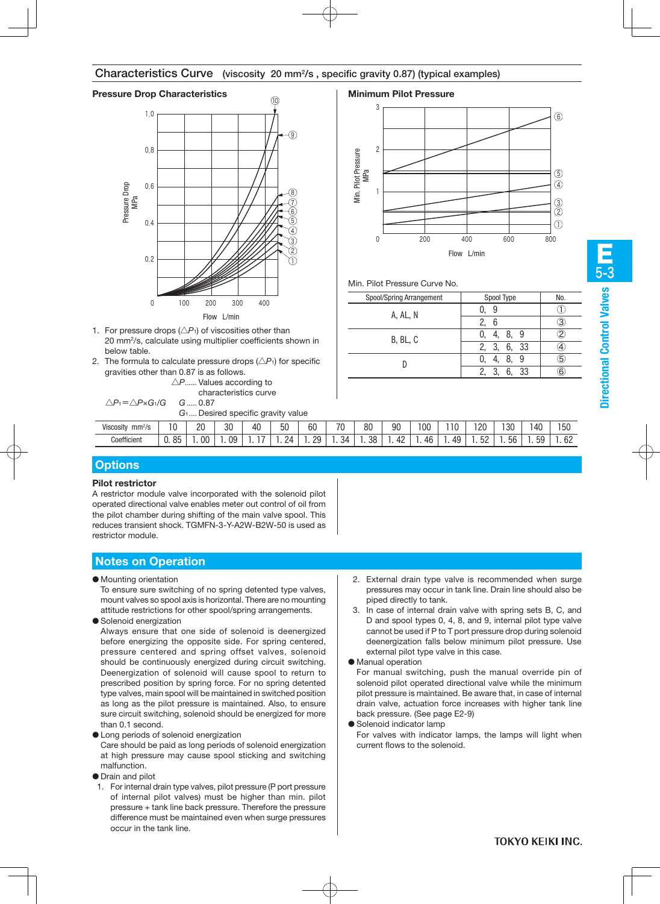# Characteristics Curve (viscosity 20 mm2/s , specific gravity 0.87) (typical examples)

# **Pressure Drop Characteristics Minimum Pilot Pressure**

![](_page_2_Figure_2.jpeg)

- 1. For pressure drops  $(\triangle P_1)$  of viscosities other than 20 mm2/s, calculate using multiplier coefficients shown in below table.
- 2. The formula to calculate pressure drops  $(\triangle P_1)$  for specific gravities other than 0.87 is as follows.

|                                                       | $\triangle P$ Values according to |
|-------------------------------------------------------|-----------------------------------|
|                                                       | characteristics curve             |
| $\triangle P_1 = \triangle P \times G_1/G$ $G$ , 0.87 |                                   |

|  |  |  | $G_1$ Desired specific gravity value |  |
|--|--|--|--------------------------------------|--|

#### Viscosity mm<sup>2</sup>/s 12/s | 10 | 20 | 30 | 40 | 50 | 60 | 70 | 80 | 90 | 100 | 110 | 120 | 130 | 140 | 150 **Coefficient**

# **Options**

### **Pilot restrictor**

A restrictor module valve incorporated with the solenoid pilot operated directional valve enables meter out control of oil from the pilot chamber during shifting of the main valve spool. This reduces transient shock. TGMFN-3-Y-A2W-B2W-50 is used as restrictor module.

# **Notes on Operation**

● Mounting orientation

To ensure sure switching of no spring detented type valves, mount valves so spool axis is horizontal. There are no mounting attitude restrictions for other spool/spring arrangements.

● Solenoid energization

Always ensure that one side of solenoid is deenergized before energizing the opposite side. For spring centered, pressure centered and spring offset valves, solenoid should be continuously energized during circuit switching. Deenergization of solenoid will cause spool to return to prescribed position by spring force. For no spring detented type valves, main spool will be maintained in switched position as long as the pilot pressure is maintained. Also, to ensure sure circuit switching, solenoid should be energized for more than 0.1 second.

● Long periods of solenoid energization

Care should be paid as long periods of solenoid energization at high pressure may cause spool sticking and switching malfunction.

- Drain and pilot
- 1. For internal drain type valves, pilot pressure (P port pressure of internal pilot valves) must be higher than min. pilot pressure + tank line back pressure. Therefore the pressure difference must be maintained even when surge pressures occur in the tank line.

![](_page_2_Figure_21.jpeg)

#### Min. Pilot Pressure Curve No.

| Spool/Spring Arrangement | Spool Type     | No. |
|--------------------------|----------------|-----|
| A, AL, N                 |                |     |
|                          | 6              |     |
| B, BL, C                 | -9<br>.8       |     |
|                          | 6,<br>33<br>3. |     |
|                          | 8.<br>Ч        | 5   |
|                          | 33             |     |

| TOKYO KEIKI INC. |  |
|------------------|--|

#### 2. External drain type valve is recommended when surge pressures may occur in tank line. Drain line should also be piped directly to tank.

- 3. In case of internal drain valve with spring sets B, C, and D and spool types 0, 4, 8, and 9, internal pilot type valve cannot be used if P to T port pressure drop during solenoid deenergization falls below minimum pilot pressure. Use external pilot type valve in this case.
- Manual operation

For manual switching, push the manual override pin of solenoid pilot operated directional valve while the minimum pilot pressure is maintained. Be aware that, in case of internal drain valve, actuation force increases with higher tank line back pressure. (See page E2-9)

● Solenoid indicator lamp

For valves with indicator lamps, the lamps will light when current flows to the solenoid.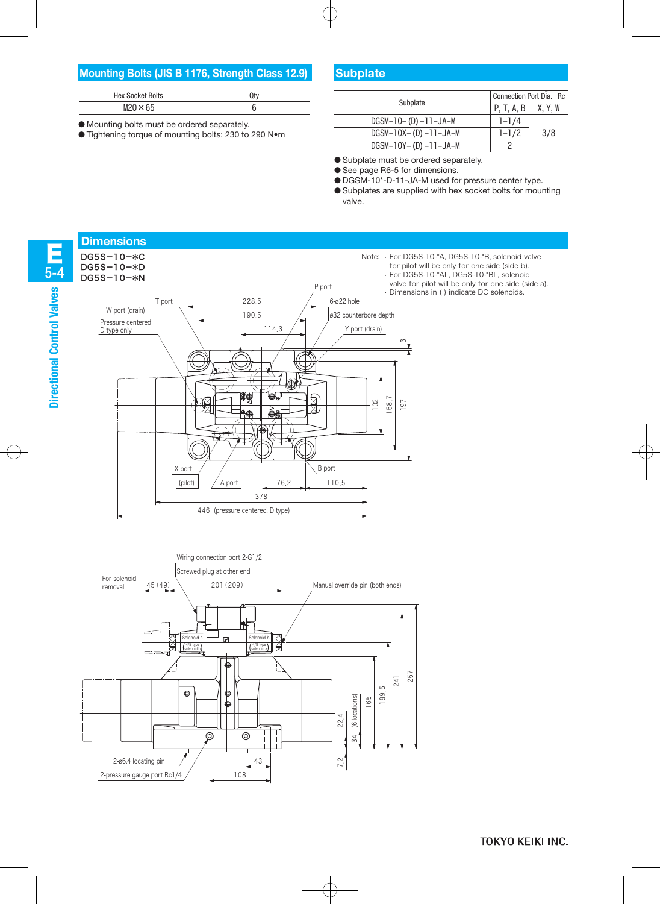# **Mounting Bolts (JIS B 1176, Strength Class 12.9)**

| <b>Hex Socket Bolts</b> |  |
|-------------------------|--|
| $M20 \times 65$         |  |

● Mounting bolts must be ordered separately.

● Tightening torque of mounting bolts: 230 to 290 N•m

# **Subplate**

| <b>Hex Socket Bolts</b><br>Qty               |  |                             | Connection Port Dia. Rc |         |  |
|----------------------------------------------|--|-----------------------------|-------------------------|---------|--|
| $M20 \times 65$                              |  | Subplate                    | P. T. A. B I            | X, Y, W |  |
| ng bolts must be ordered separately.         |  | $DGSM-10-$ (D) $-11-JA-M$   | $-1/4$                  |         |  |
| ing torque of mounting bolts: 230 to 290 N•m |  | $DGSM-10X-$ (D) $-11-JA-M$  | $1 - 1/2$               | 3/8     |  |
|                                              |  | $DGSM-10Y - (D) -11 -JA -M$ |                         |         |  |

● Subplate must be ordered separately.

● See page R6-5 for dimensions.

● DGSM-10\*-D-11-JA-M used for pressure center type.

● Subplates are supplied with hex socket bolts for mounting valve.

![](_page_3_Figure_10.jpeg)